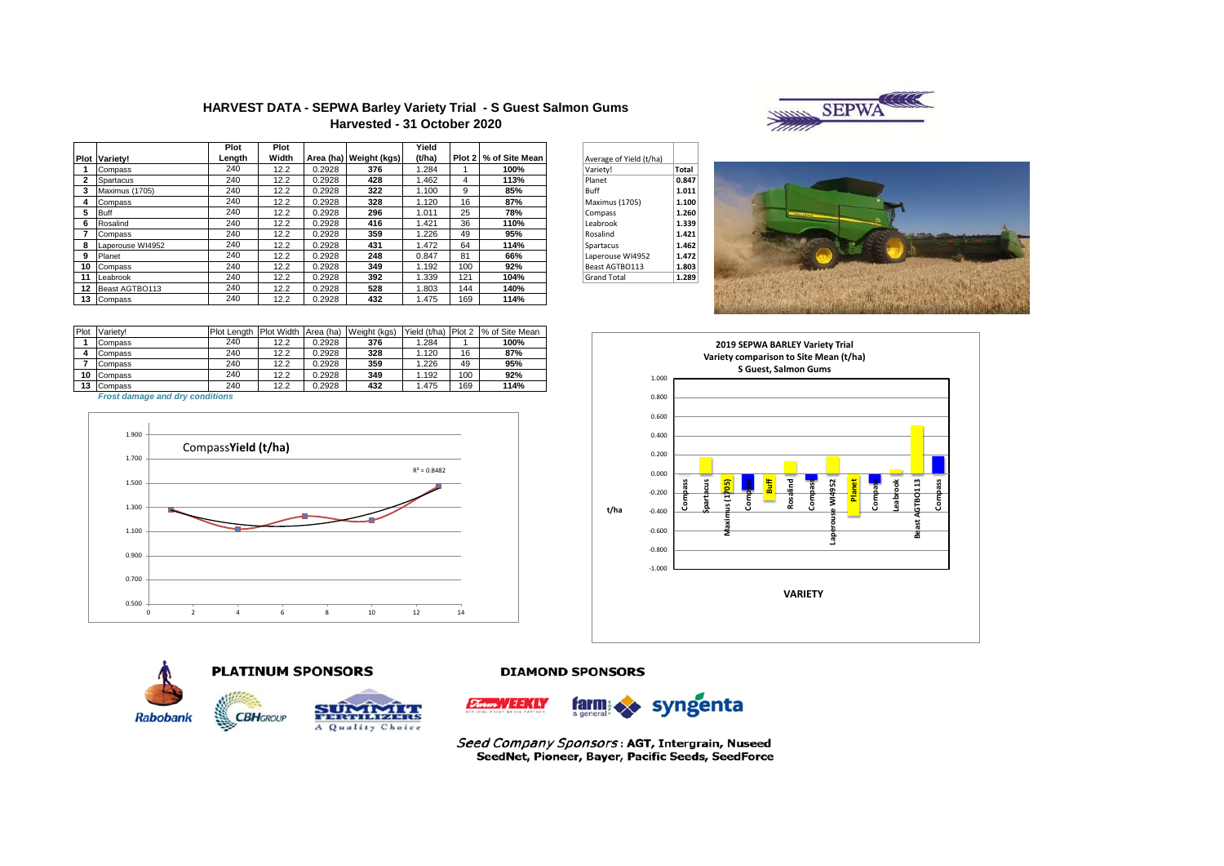

### **HARVEST DATA - SEPWA Barley Variety Trial - S Guest Salmon Gums Harvested - 31 October 2020**

|    |                      | Plot   | Plot  |        |                        | Yield  |     |                       |                         |       |
|----|----------------------|--------|-------|--------|------------------------|--------|-----|-----------------------|-------------------------|-------|
|    | <b>Plot Variety!</b> | Length | Width |        | Area (ha) Weight (kgs) | (t/ha) |     | Plot 2 % of Site Mean | Average of Yield (t/ha) |       |
|    | Compass              | 240    | 12.2  | 0.2928 | 376                    | 1.284  |     | 100%                  | Variety!                | Total |
|    | Spartacus            | 240    | 12.2  | 0.2928 | 428                    | 1.462  | 4   | 113%                  | Planet                  | 0.847 |
|    | Maximus (1705)       | 240    | 12.2  | 0.2928 | 322                    | 1.100  | 9   | 85%                   | Buff                    | 1.011 |
|    | Compass              | 240    | 12.2  | 0.2928 | 328                    | 1.120  | 16  | 87%                   | Maximus (1705)          | 1.100 |
| 5  | Buff                 | 240    | 12.2  | 0.2928 | 296                    | 1.011  | 25  | 78%                   | Compass                 | 1.260 |
| 6  | Rosalind             | 240    | 12.2  | 0.2928 | 416                    | .421   | 36  | 110%                  | Leabrook                | 1.339 |
|    | Compass              | 240    | 12.2  | 0.2928 | 359                    | .226   | 49  | 95%                   | Rosalind                | 1.421 |
| 8  | Laperouse WI4952     | 240    | 12.2  | 0.2928 | 431                    | .472   | 64  | 114%                  | Spartacus               | 1.462 |
| 9  | Planet               | 240    | 12.2  | 0.2928 | 248                    | 0.847  | 81  | 66%                   | Laperouse WI4952        | 1.472 |
|    | 10 Compass           | 240    | 12.2  | 0.2928 | 349                    | 1.192  | 100 | 92%                   | Beast AGTBO113          | 1.803 |
| 11 | Leabrook             | 240    | 12.2  | 0.2928 | 392                    | 1.339  | 121 | 104%                  | <b>Grand Total</b>      | 1.289 |
|    | 12 Beast AGTBO113    | 240    | 12.2  | 0.2928 | 528                    | 1.803  | 144 | 140%                  |                         |       |
|    | 13 Compass           | 240    | 12.2  | 0.2928 | 432                    | .475   | 169 | 114%                  |                         |       |

| Average of Yield (t/ha) |       |
|-------------------------|-------|
| Variety!                | Total |
| Planet                  | 0.847 |
| Buff                    | 1.011 |
| <b>Maximus</b> (1705)   | 1.100 |
| Compass                 | 1.260 |
| Leabrook                | 1.339 |
| Rosalind                | 1.421 |
| Spartacus               | 1.462 |
| Laperouse WI4952        | 1.472 |
| Beast AGTBO113          | 1.803 |
| <b>Grand Total</b>      | 1.289 |



| Plot | Variety! | Plot Lenath | <b>Plot Width</b> | Area (ha) | Weight (kgs) | Yield (t/ha) | Plot 2 | % of Site Mean |
|------|----------|-------------|-------------------|-----------|--------------|--------------|--------|----------------|
|      | Compass  | 240         | 12.2              | 0.2928    | 376          | 1.284        |        | 100%           |
|      | Compass  | 240         | 12.2              | 0.2928    | 328          | 1.120        | 16     | 87%            |
|      | Compass  | 240         | 12.2              | 0.2928    | 359          | 1.226        | 49     | 95%            |
| 10   | Compass  | 240         | 12.2              | 0.2928    | 349          | 1.192        | 100    | 92%            |
| 13   | Compass  | 240         | 12.2              | 0.2928    | 432          | 1.475        | 169    | 114%           |

*Frost damage and dry conditions*







**DIAMOND SPONSORS** 



Seed Company Sponsors: AGT, Intergrain, Nuseed SeedNet, Pioneer, Bayer, Pacific Seeds, SeedForce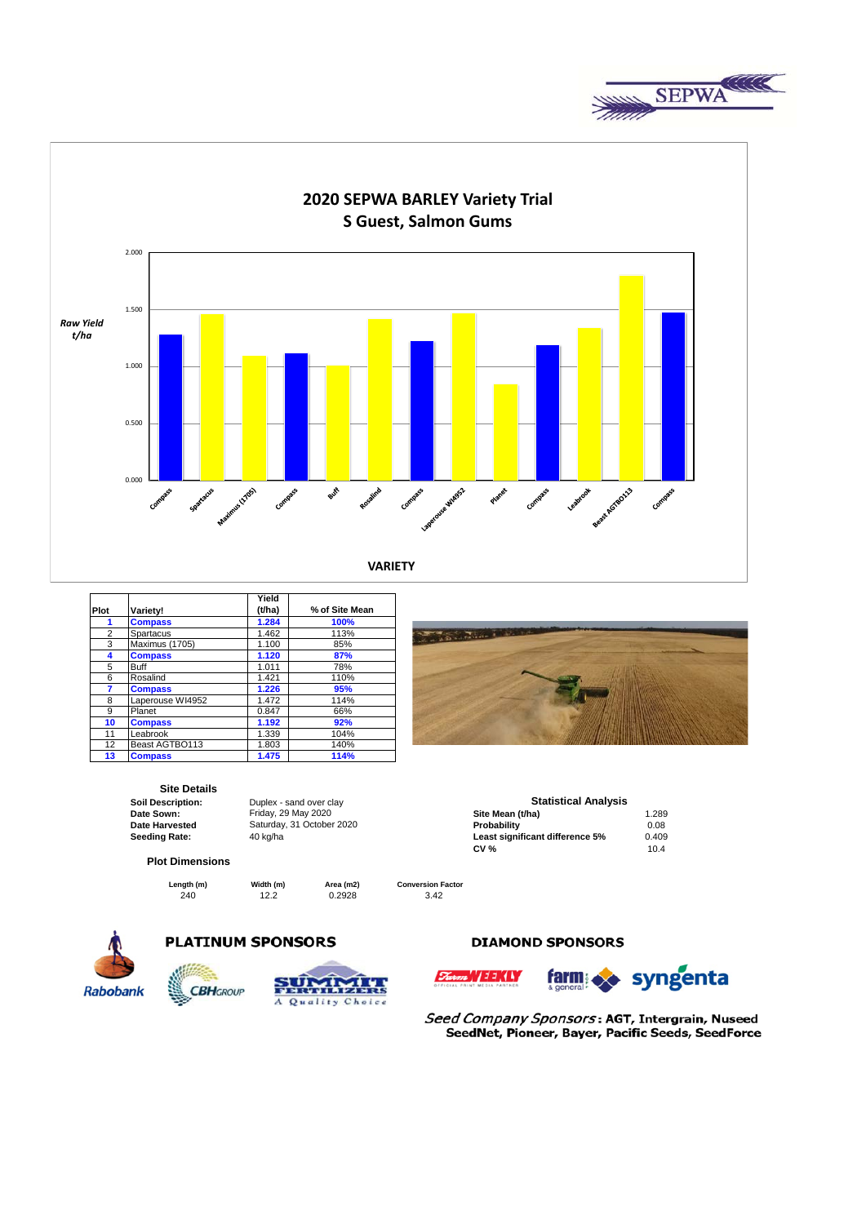



|      |                  | Yield  |                |
|------|------------------|--------|----------------|
| Plot | Variety!         | (t/ha) | % of Site Mean |
| 1    | <b>Compass</b>   | 1.284  | 100%           |
| 2    | Spartacus        | 1.462  | 113%           |
| 3    | Maximus (1705)   | 1.100  | 85%            |
| 4    | <b>Compass</b>   | 1.120  | 87%            |
| 5    | <b>Buff</b>      | 1.011  | 78%            |
| 6    | Rosalind         | 1.421  | 110%           |
| 7    | <b>Compass</b>   | 1.226  | 95%            |
| 8    | Laperouse WI4952 | 1.472  | 114%           |
| 9    | Planet           | 0.847  | 66%            |
| 10   | <b>Compass</b>   | 1.192  | 92%            |
| 11   | Leabrook         | 1.339  | 104%           |
| 12   | Beast AGTBO113   | 1.803  | 140%           |
| 13   | <b>Compass</b>   | 1.475  | 114%           |

# **Site Details**<br> **Soil Description:**

**Soil Description:** Duplex - sand over clay<br> **Date Sown:** Friday, 29 May 2020

#### **Plot Dimensions**

**Length (m) Width (m) Area (m2)** 

240 **12.2** 0.2928

**Date Sown: Site Mean (t/ha)** 1.289 Friday, 29 May 2020 **Date Harvested Probability** 0.08 Saturday, 31 October 2020 **Seeding Rate:** 40 kg/ha **Least significant difference 5%** 0.409 **CV** % 10.4 **CV %** 10.4 **Statistical Analysis**<br>Site Mean (t/ha)

**Conversion Factor**



# **PLATINUM SPONSORS**





## **DIAMOND SPONSORS**





Seed Company Sponsors: AGT, Intergrain, Nuseed SeedNet, Pioneer, Bayer, Pacific Seeds, SeedForce